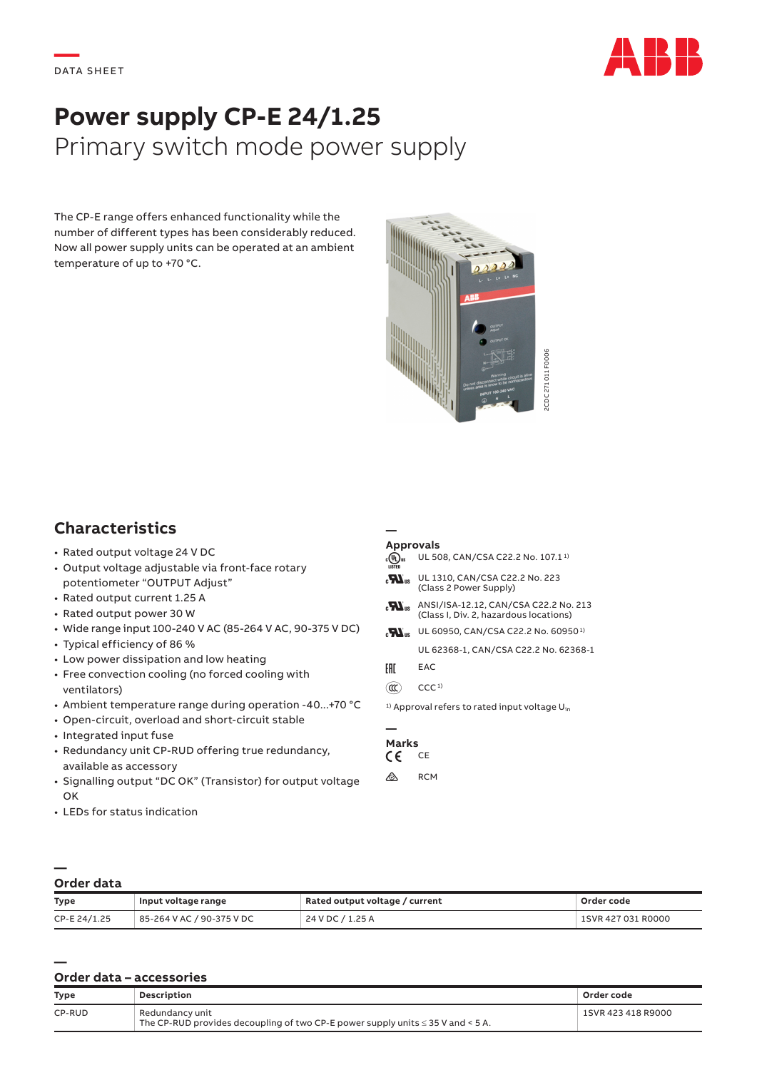

# **Power supply CP-E 24/1.25** Primary switch mode power supply

The CP-E range offers enhanced functionality while the number of different types has been considerably reduced. Now all power supply units can be operated at an ambient temperature of up to +70 °C.



## **Characteristics**

- Rated output voltage 24 V DC
- Output voltage adjustable via front-face rotary potentiometer "OUTPUT Adjust"
- Rated output current 1.25 A
- Rated output power 30 W
- Wide range input 100-240 V AC (85-264 V AC, 90-375 V DC)
- Typical efficiency of 86 %
- Low power dissipation and low heating
- Free convection cooling (no forced cooling with ventilators)
- Ambient temperature range during operation -40...+70 °C
- Open-circuit, overload and short-circuit stable
- Integrated input fuse
- Redundancy unit CP-RUD offering true redundancy, available as accessory
- Signalling output "DC OK" (Transistor) for output voltage OK
- LEDs for status indication

#### **— Approvals**

- $\overline{A}$  UL 508, CAN/CSA C22.2 No. 107.1<sup>1</sup> **H**<sub>us</sub> UL 1310, CAN/CSA C22.2 No. 223 (Class 2 Power Supply)  $\mathbf{H}_{\text{us}}$  ANSI/ISA-12.12, CAN/CSA C22.2 No. 213 (Class I, Div. 2, hazardous locations)  $\mathbf{H}_{\text{us}}$  UL 60950, CAN/CSA C22.2 No. 60950<sup>1)</sup> UL 62368-1, CAN/CSA C22.2 No. 62368-1 FHI EAC  $(\mathbb{C})$  CCC<sup>1)</sup>
- 

<sup>1)</sup> Approval refers to rated input voltage  $U_{in}$ 

#### **— Marks**<br>C C C E  $\epsilon$

 $\otimes$  RCM

#### **— Order data**

| <b>Type</b>  | Input voltage range       | Rated output voltage / current | Order code         |
|--------------|---------------------------|--------------------------------|--------------------|
| CP-E 24/1.25 | 85-264 V AC / 90-375 V DC | 24 V DC / 1.25 A               | 1SVR 427 031 R0000 |

### **— Order data – accessories**

| <b>Type</b> | Description                                                                                             | Order code         |
|-------------|---------------------------------------------------------------------------------------------------------|--------------------|
| CP-RUD      | Redundancy unit<br>The CP-RUD provides decoupling of two CP-E power supply units $\leq$ 35 V and < 5 A. | 1SVR 423 418 R9000 |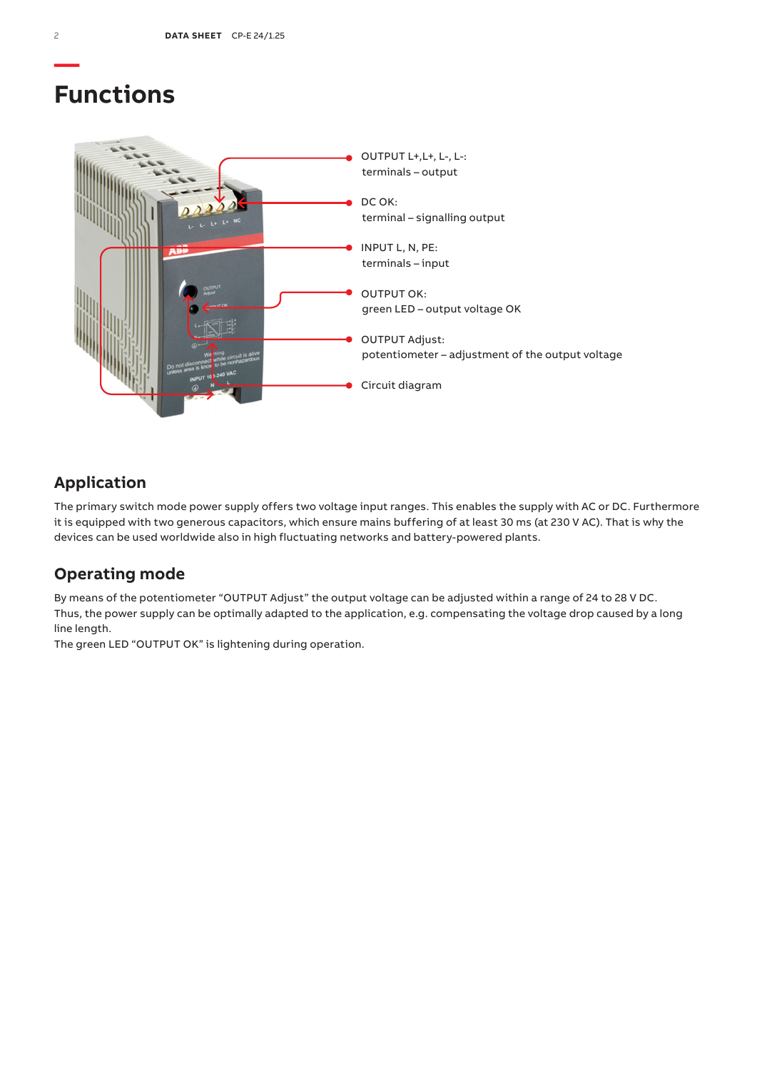## **Functions**



## **Application**

The primary switch mode power supply offers two voltage input ranges. This enables the supply with AC or DC. Furthermore it is equipped with two generous capacitors, which ensure mains buffering of at least 30 ms (at 230 V AC). That is why the devices can be used worldwide also in high fluctuating networks and battery-powered plants.

### **Operating mode**

By means of the potentiometer "OUTPUT Adjust" the output voltage can be adjusted within a range of 24 to 28 V DC. Thus, the power supply can be optimally adapted to the application, e.g. compensating the voltage drop caused by a long line length.

The green LED "OUTPUT OK" is lightening during operation.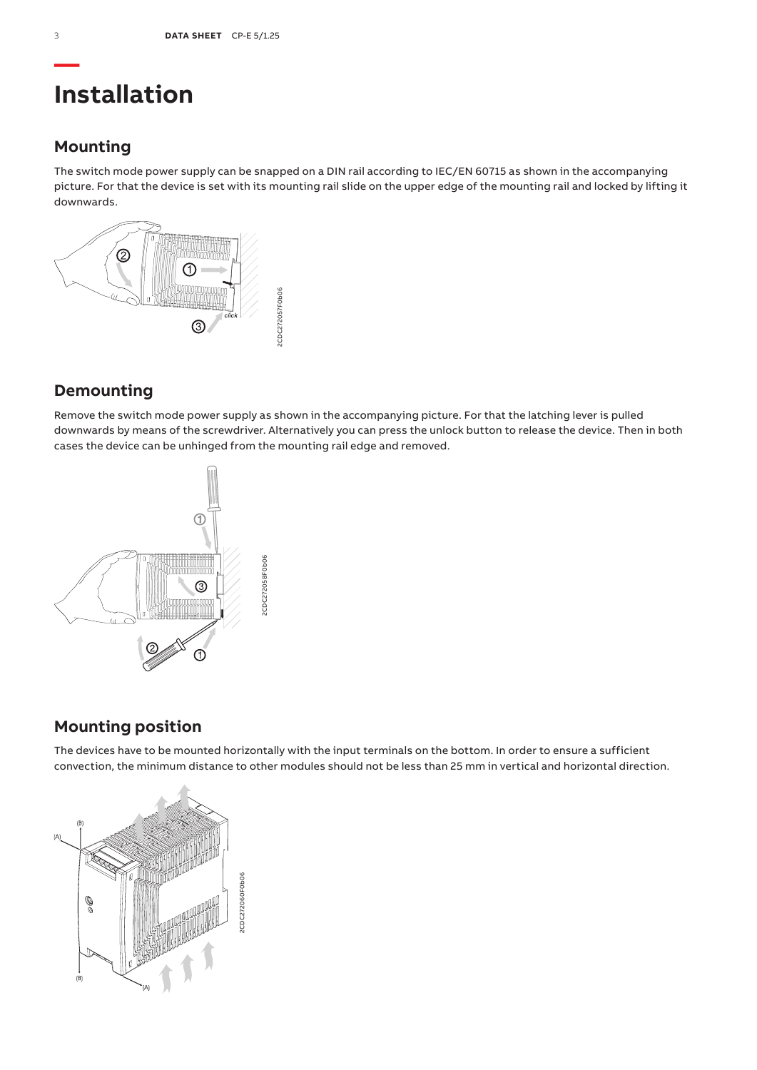## **Installation**

### **Mounting**

The switch mode power supply can be snapped on a DIN rail according to IEC/EN 60715 as shown in the accompanying picture. For that the device is set with its mounting rail slide on the upper edge of the mounting rail and locked by lifting it downwards.



## **Demounting**

Remove the switch mode power supply as shown in the accompanying picture. For that the latching lever is pulled downwards by means of the screwdriver. Alternatively you can press the unlock button to release the device. Then in both cases the device can be unhinged from the mounting rail edge and removed.



## **Mounting position**

The devices have to be mounted horizontally with the input terminals on the bottom. In order to ensure a sufficient convection, the minimum distance to other modules should not be less than 25 mm in vertical and horizontal direction.

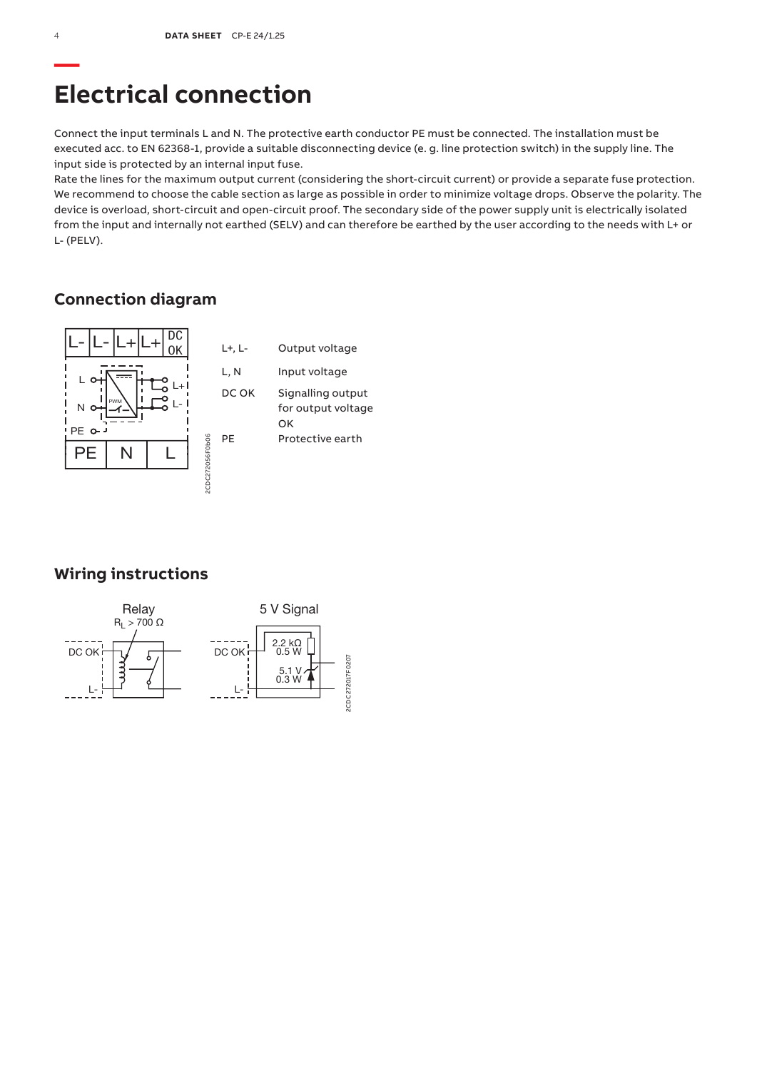## **Electrical connection**

Connect the input terminals L and N. The protective earth conductor PE must be connected. The installation must be executed acc. to EN 62368-1, provide a suitable disconnecting device (e. g. line protection switch) in the supply line. The input side is protected by an internal input fuse.

Rate the lines for the maximum output current (considering the short-circuit current) or provide a separate fuse protection. We recommend to choose the cable section as large as possible in order to minimize voltage drops. Observe the polarity. The device is overload, short-circuit and open-circuit proof. The secondary side of the power supply unit is electrically isolated from the input and internally not earthed (SELV) and can therefore be earthed by the user according to the needs with L+ or L- (PELV).

## **Connection diagram**



## **Wiring instructions**

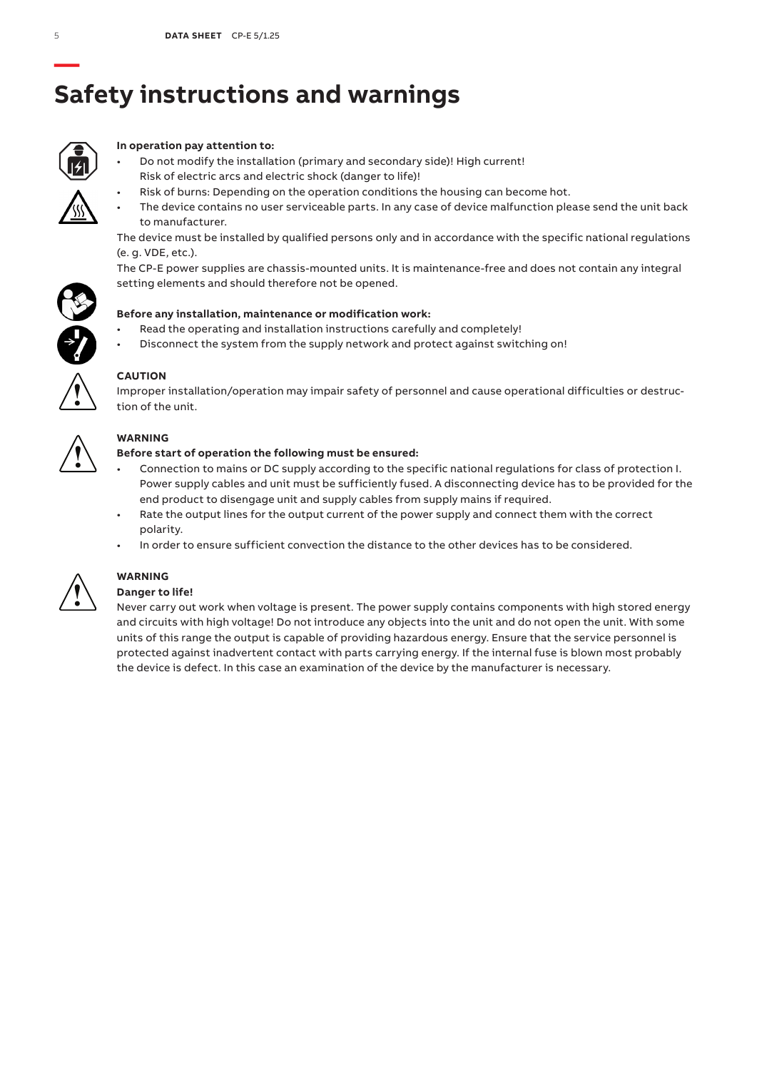# **Safety instructions and warnings**



### **In operation pay attention to:**

- Do not modify the installation (primary and secondary side)! High current! Risk of electric arcs and electric shock (danger to life)!
	- Risk of burns: Depending on the operation conditions the housing can become hot.
- The device contains no user serviceable parts. In any case of device malfunction please send the unit back to manufacturer.

The device must be installed by qualified persons only and in accordance with the specific national regulations (e. g. VDE, etc.).

The CP-E power supplies are chassis-mounted units. It is maintenance-free and does not contain any integral setting elements and should therefore not be opened.



- Read the operating and installation instructions carefully and completely!
- Disconnect the system from the supply network and protect against switching on!



### **CAUTION**

Improper installation/operation may impair safety of personnel and cause operational difficulties or destruction of the unit.



### **WARNING**

### **Before start of operation the following must be ensured:**

- Connection to mains or DC supply according to the specific national regulations for class of protection I. Power supply cables and unit must be sufficiently fused. A disconnecting device has to be provided for the end product to disengage unit and supply cables from supply mains if required.
- Rate the output lines for the output current of the power supply and connect them with the correct polarity.
- In order to ensure sufficient convection the distance to the other devices has to be considered.



## **WARNING**

### **Danger to life!**

Never carry out work when voltage is present. The power supply contains components with high stored energy and circuits with high voltage! Do not introduce any objects into the unit and do not open the unit. With some units of this range the output is capable of providing hazardous energy. Ensure that the service personnel is protected against inadvertent contact with parts carrying energy. If the internal fuse is blown most probably the device is defect. In this case an examination of the device by the manufacturer is necessary.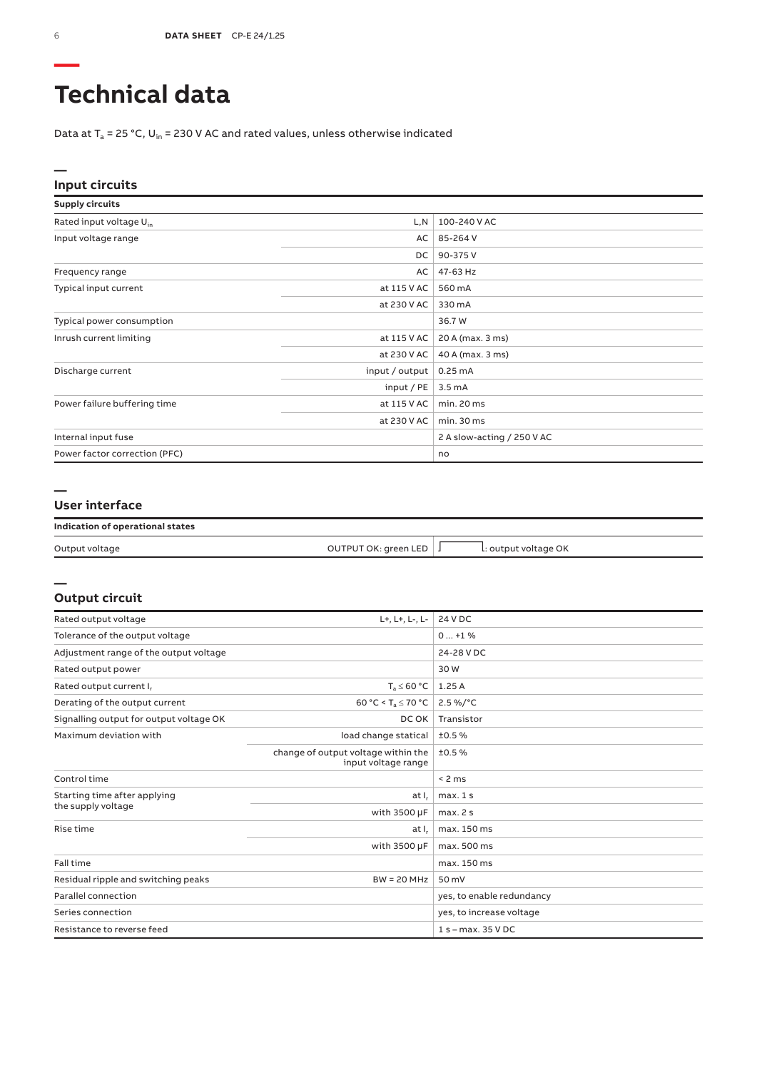# **Technical data**

Data at  $T_a$  = 25 °C, U<sub>in</sub> = 230 V AC and rated values, unless otherwise indicated

### **Input circuits**

| <b>Supply circuits</b>              |                |                            |
|-------------------------------------|----------------|----------------------------|
| Rated input voltage U <sub>in</sub> | L,N            | 100-240 V AC               |
| Input voltage range                 | AC             | 85-264 V                   |
|                                     | DC             | 90-375V                    |
| Frequency range                     | AC             | 47-63 Hz                   |
| Typical input current               | at 115 V AC    | 560 mA                     |
|                                     | at 230 V AC    | 330 mA                     |
| Typical power consumption           |                | 36.7 W                     |
| Inrush current limiting             | at 115 V AC    | 20 A (max. 3 ms)           |
|                                     | at 230 V AC    | 40 A (max. 3 ms)           |
| Discharge current                   | input / output | 0.25mA                     |
|                                     | input / PE     | 3.5 <sub>m</sub> A         |
| Power failure buffering time        | at 115 V AC    | min. 20 ms                 |
|                                     | at 230 V AC    | min.30 ms                  |
| Internal input fuse                 |                | 2 A slow-acting / 250 V AC |
| Power factor correction (PFC)       |                | no                         |

### **—**

**—**

### **User interface**

### **Indication of operational states**

| Output voltage | OUTPUT OK: green LED | l: output voltage OK |  |
|----------------|----------------------|----------------------|--|

### **Output circuit**

| Rated output voltage                    | L+, L+, L-, L-                                             | 24 V DC                   |
|-----------------------------------------|------------------------------------------------------------|---------------------------|
| Tolerance of the output voltage         | $0+1%$                                                     |                           |
| Adjustment range of the output voltage  |                                                            | 24-28 V DC                |
| Rated output power                      |                                                            | 30W                       |
| Rated output current I <sub>r</sub>     | $T_a \leq 60 °C$                                           | 1.25A                     |
| Derating of the output current          | 60 °C < T <sub>a</sub> $\leq$ 70 °C                        | $2.5\%$ /°C               |
| Signalling output for output voltage OK | DC OK                                                      | Transistor                |
| Maximum deviation with                  | load change statical                                       | ±0.5%                     |
|                                         | change of output voltage within the<br>input voltage range | ±0.5%                     |
| Control time                            |                                                            | < 2 ms                    |
| Starting time after applying            | at I <sub>r</sub>                                          | max.1s                    |
| the supply voltage                      | with 3500 µF                                               | max.2s                    |
| Rise time                               | at I.                                                      | max. 150 ms               |
|                                         | with 3500 µF                                               | max. 500 ms               |
| Fall time                               |                                                            | max. 150 ms               |
| Residual ripple and switching peaks     | $BW = 20 MHz$                                              | 50 mV                     |
| Parallel connection                     |                                                            | yes, to enable redundancy |
| Series connection                       |                                                            | yes, to increase voltage  |
| Resistance to reverse feed              |                                                            | $1 s - max. 35 V DC$      |

**—**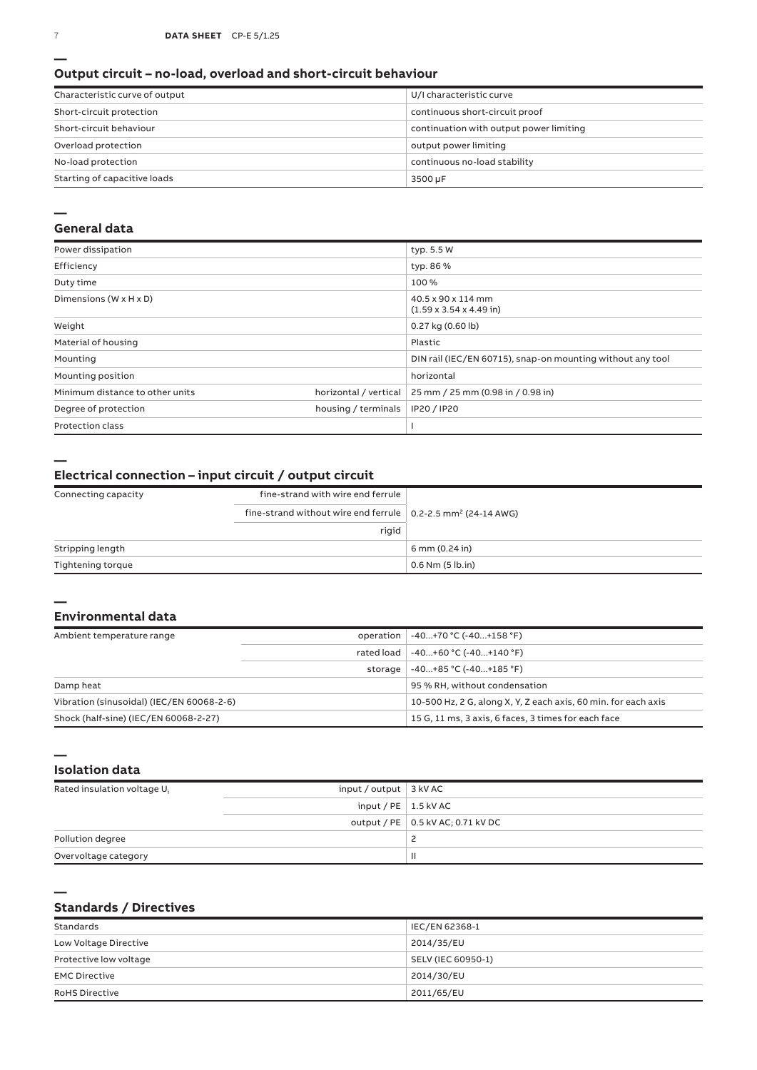### **Output circuit – no-load, overload and short-circuit behaviour**

| Characteristic curve of output | U/I characteristic curve                |
|--------------------------------|-----------------------------------------|
| Short-circuit protection       | continuous short-circuit proof          |
| Short-circuit behaviour        | continuation with output power limiting |
| Overload protection            | output power limiting                   |
| No-load protection             | continuous no-load stability            |
| Starting of capacitive loads   | 3500 µF                                 |

#### **—**

### **General data**

| Power dissipation                    |                       | typ. 5.5 W                                                 |
|--------------------------------------|-----------------------|------------------------------------------------------------|
| Efficiency                           |                       | typ. 86 %                                                  |
| Duty time                            |                       | 100%                                                       |
| Dimensions ( $W \times H \times D$ ) |                       | 40.5 x 90 x 114 mm<br>$(1.59 \times 3.54 \times 4.49)$ in) |
| Weight                               |                       | 0.27 kg (0.60 lb)                                          |
| Material of housing                  |                       | Plastic                                                    |
| Mounting                             |                       | DIN rail (IEC/EN 60715), snap-on mounting without any tool |
| Mounting position                    |                       | horizontal                                                 |
| Minimum distance to other units      | horizontal / vertical | 25 mm / 25 mm (0.98 in / 0.98 in)                          |
| Degree of protection                 | housing / terminals   | IP20 / IP20                                                |
| <b>Protection class</b>              |                       |                                                            |

**—**

### **Electrical connection – input circuit / output circuit**

| Connecting capacity | fine-strand with wire end ferrule                                                |                      |
|---------------------|----------------------------------------------------------------------------------|----------------------|
|                     | fine-strand without wire end ferrule $\vert$ 0.2-2.5 mm <sup>2</sup> (24-14 AWG) |                      |
|                     | rigid                                                                            |                      |
| Stripping length    |                                                                                  | 6 mm (0.24 in)       |
| Tightening torque   |                                                                                  | $0.6$ Nm $(5$ lb.in) |

#### **— Environmental data**

| Ambient temperature range                 |            | operation   -40+70 °C (-40+158 °F)                             |
|-------------------------------------------|------------|----------------------------------------------------------------|
|                                           | rated load | $-40+60 °C (-40+140 °F)$                                       |
|                                           | storage    | -40+85 °C (-40+185 °F)                                         |
| Damp heat                                 |            | 95 % RH, without condensation                                  |
| Vibration (sinusoidal) (IEC/EN 60068-2-6) |            | 10-500 Hz, 2 G, along X, Y, Z each axis, 60 min. for each axis |
| Shock (half-sine) (IEC/EN 60068-2-27)     |            | 15 G, 11 ms, 3 axis, 6 faces, 3 times for each face            |

**— Isolation data**

**—**

| Rated insulation voltage U <sub>i</sub> | input / output $\vert$ 3 kV AC |                                     |
|-----------------------------------------|--------------------------------|-------------------------------------|
|                                         | input / $PE$   1.5 kV AC       |                                     |
|                                         |                                | output / PE   0.5 kV AC; 0.71 kV DC |
| Pollution degree                        |                                |                                     |
| Overvoltage category                    |                                | Ш                                   |

### **Standards / Directives**

| Standards              | IEC/EN 62368-1     |
|------------------------|--------------------|
| Low Voltage Directive  | 2014/35/EU         |
| Protective low voltage | SELV (IEC 60950-1) |
| <b>EMC Directive</b>   | 2014/30/EU         |
| <b>RoHS Directive</b>  | 2011/65/EU         |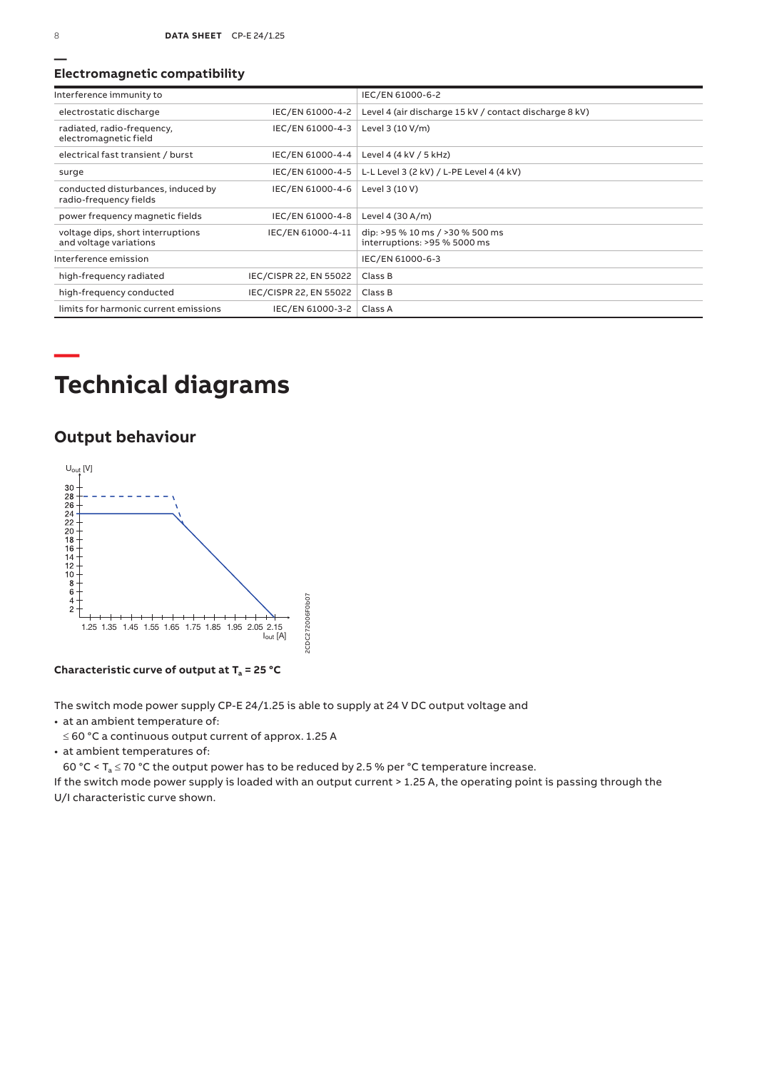### **Electromagnetic compatibility**

| Interference immunity to                                     |                        | IEC/EN 61000-6-2                                                |
|--------------------------------------------------------------|------------------------|-----------------------------------------------------------------|
| electrostatic discharge                                      | IEC/EN 61000-4-2       | Level 4 (air discharge 15 kV / contact discharge 8 kV)          |
| radiated, radio-frequency,<br>electromagnetic field          | IEC/EN 61000-4-3       | Level 3 (10 V/m)                                                |
| electrical fast transient / burst                            | IEC/EN 61000-4-4       | Level 4 (4 kV / 5 kHz)                                          |
| surge                                                        | IEC/EN 61000-4-5       | L-L Level 3 (2 kV) / L-PE Level 4 (4 kV)                        |
| conducted disturbances, induced by<br>radio-frequency fields | IEC/EN 61000-4-6       | Level 3 (10 V)                                                  |
| power frequency magnetic fields                              | IEC/EN 61000-4-8       | Level 4 $(30 A/m)$                                              |
| voltage dips, short interruptions<br>and voltage variations  | IEC/EN 61000-4-11      | dip: >95 % 10 ms / >30 % 500 ms<br>interruptions: >95 % 5000 ms |
| Interference emission                                        |                        | IEC/EN 61000-6-3                                                |
| high-frequency radiated                                      | IEC/CISPR 22, EN 55022 | Class B                                                         |
| high-frequency conducted                                     | IEC/CISPR 22, EN 55022 | Class B                                                         |
| limits for harmonic current emissions                        | IEC/EN 61000-3-2       | Class A                                                         |

# **Technical diagrams**

### **Output behaviour**



Characteristic curve of output at T<sub>a</sub> = 25 °C

The switch mode power supply CP‑E 24/1.25 is able to supply at 24 V DC output voltage and

• at an ambient temperature of:

≤ 60 °C a continuous output current of approx. 1.25 A

• at ambient temperatures of:

60 °C <  $T_a \le 70$  °C the output power has to be reduced by 2.5 % per °C temperature increase.

If the switch mode power supply is loaded with an output current > 1.25 A, the operating point is passing through the U/I characteristic curve shown.

**—**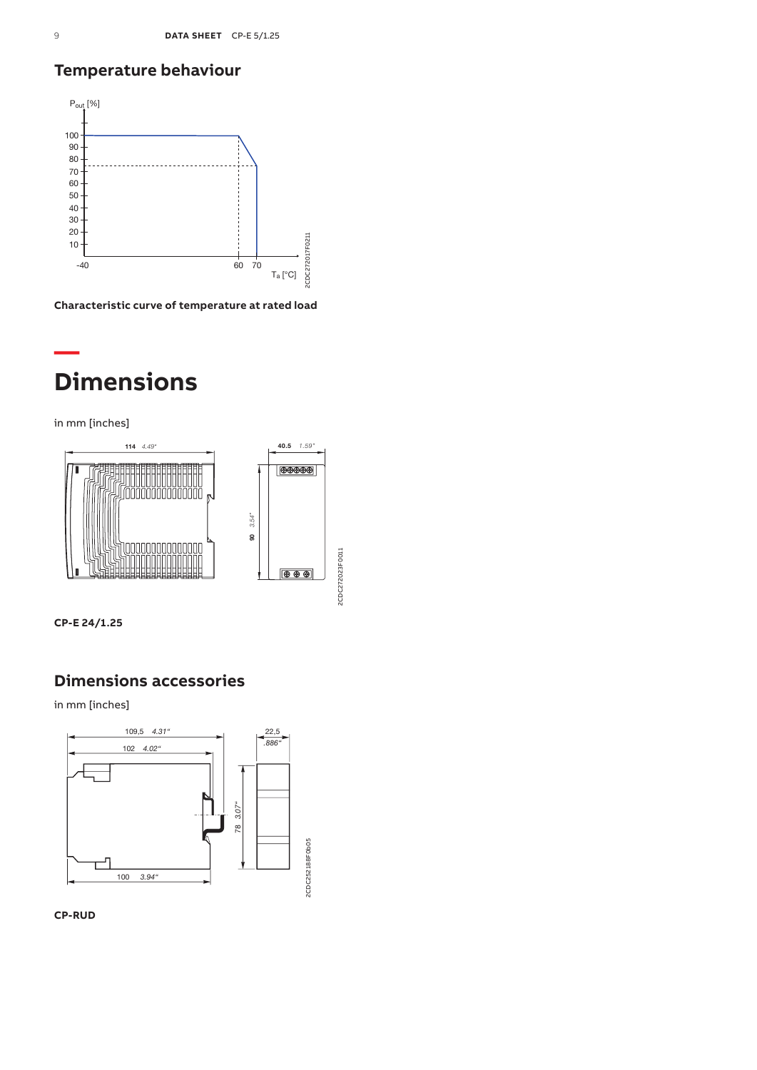## **Temperature behaviour**



**Characteristic curve of temperature at rated load**

## **— Dimensions**

in mm [inches]



**CP-E 24/1.25**

### **Dimensions accessories**

in mm [inches]



**CP-RUD**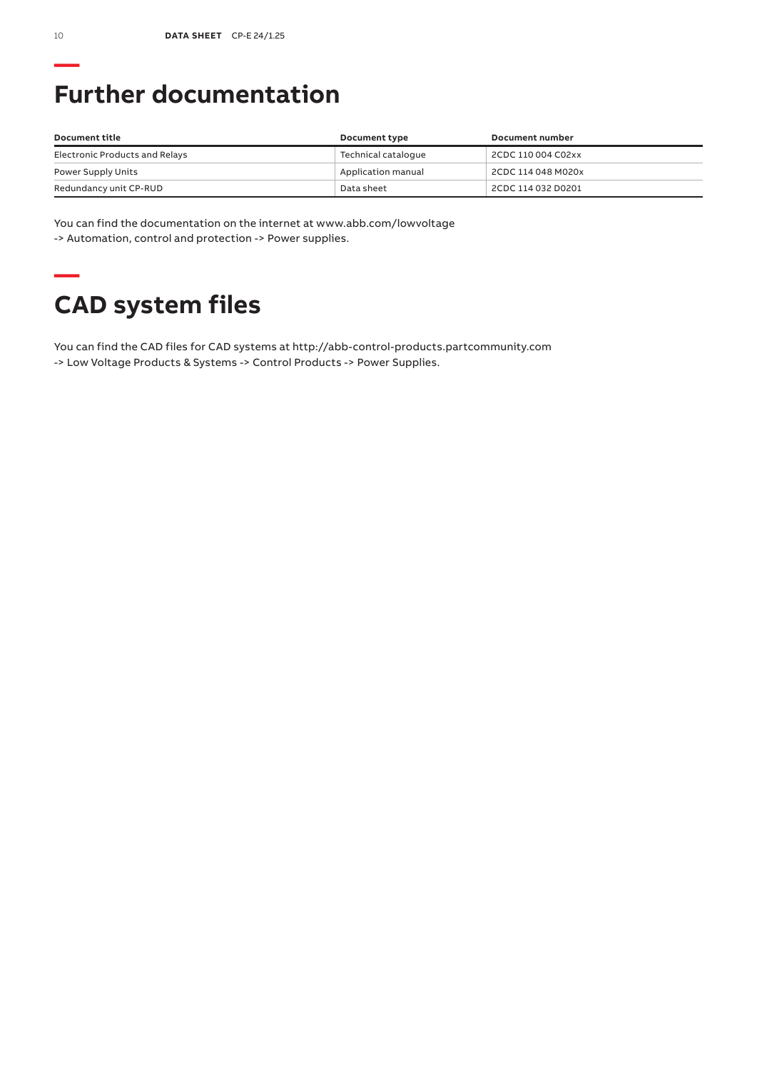# **Further documentation**

| Document title                 | Document type       | Document number    |
|--------------------------------|---------------------|--------------------|
| Electronic Products and Relays | Technical cataloque | 2CDC 110 004 C02xx |
| Power Supply Units             | Application manual  | 2CDC 114 048 M020x |
| Redundancy unit CP-RUD         | Data sheet          | 2CDC 114 032 D0201 |

You can find the documentation on the internet at www.abb.com/lowvoltage -> Automation, control and protection -> Power supplies.

## **— CAD system files**

You can find the CAD files for CAD systems at http://abb-control-products.partcommunity.com -> Low Voltage Products & Systems -> Control Products -> Power Supplies.